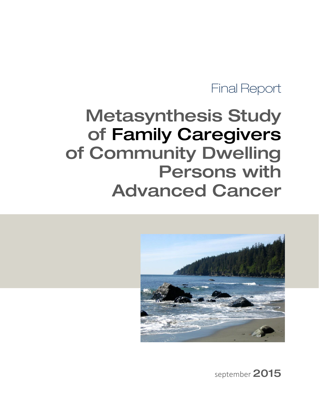# Final Report

# Metasynthesis Study of Family Caregivers of Community Dwelling Persons with Advanced Cancer



september 2015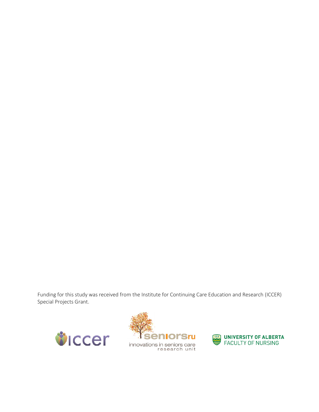Funding for this study was received from the Institute for Continuing Care Education and Research (ICCER) Special Projects Grant.





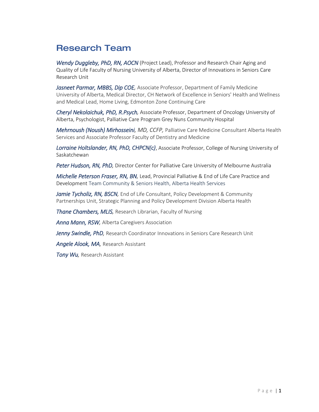# Research Team

*Wendy Duggleby, PhD, RN, AOCN* (Project Lead), Professor and Research Chair Aging and Quality of Life Faculty of Nursing University of Alberta, Director of Innovations in Seniors Care Research Unit

*Jasneet Parmar, MBBS, Dip COE,* Associate Professor, Department of Family Medicine University of Alberta, Medical Director, CH Network of Excellence in Seniors' Health and Wellness and Medical Lead, Home Living, Edmonton Zone Continuing Care

*Cheryl Nekolaichuk, PhD, R.Psych,* Associate Professor, Department of Oncology University of Alberta, Psychologist, Palliative Care Program Grey Nuns Community Hospital

*Mehrnoush (Noush) Mirhosseini, MD, CCFP,* Palliative Care Medicine Consultant Alberta Health Services and Associate Professor Faculty of Dentistry and Medicine

*Lorraine Holtslander, RN, PhD, CHPCN(c)*, Associate Professor, College of Nursing University of Saskatchewan

*Peter Hudson, RN, PhD,* Director Center for Palliative Care University of Melbourne Australia

*Michelle Peterson Fraser, RN, BN,* Lead, Provincial Palliative & End of Life Care Practice and Development Team Community & Seniors Health, Alberta Health Services

*Jamie Tycholiz, RN, BSCN,* End of Life Consultant, Policy Development & Community Partnerships Unit, Strategic Planning and Policy Development Division Alberta Health

*Thane Chambers, MLIS,* Research Librarian, Faculty of Nursing

*Anna Mann, RSW,* Alberta Caregivers Association

*Jenny Swindle, PhD,* Research Coordinator Innovations in Seniors Care Research Unit

*Angele Alook, MA,* Research Assistant

*Tony Wu,* Research Assistant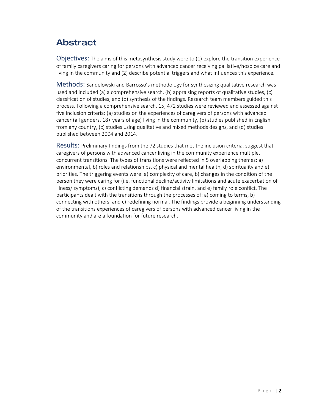# Abstract

Objectives: The aims of this metasynthesis study were to (1) explore the transition experience of family caregivers caring for persons with advanced cancer receiving palliative/hospice care and living in the community and (2) describe potential triggers and what influences this experience*.*

Methods: Sandelowski and Barrosso's methodology for synthesizing qualitative research was used and included (a) a comprehensive search, (b) appraising reports of qualitative studies, (c) classification of studies, and (d) synthesis of the findings. Research team members guided this process. Following a comprehensive search, 15, 472 studies were reviewed and assessed against five inclusion criteria: (a) studies on the experiences of caregivers of persons with advanced cancer (all genders, 18+ years of age) living in the community, (b) studies published in English from any country, (c) studies using qualitative and mixed methods designs, and (d) studies published between 2004 and 2014.

Results: Preliminary findings from the 72 studies that met the inclusion criteria, suggest that caregivers of persons with advanced cancer living in the community experience multiple, concurrent transitions. The types of transitions were reflected in 5 overlapping themes: a) environmental, b) roles and relationships, c) physical and mental health, d) spirituality and e) priorities. The triggering events were: a) complexity of care, b) changes in the condition of the person they were caring for (i.e. functional decline/activity limitations and acute exacerbation of illness/ symptoms), c) conflicting demands d) financial strain, and e) family role conflict. The participants dealt with the transitions through the processes of: a) coming to terms, b) connecting with others, and c) redefining normal. The findings provide a beginning understanding of the transitions experiences of caregivers of persons with advanced cancer living in the community and are a foundation for future research.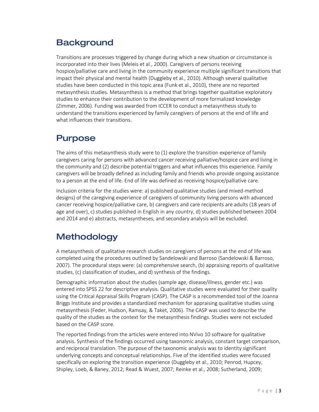# **Background**

Transitions are processes triggered by change during which a new situation or circumstance is incorporated into their lives [\(Meleis et al., 2000\)](#page-10-0). Caregivers of persons receiving hospice/palliative care and living in the community experience multiple significant transitions that impact their physical and mental health (Duggleby et al., 2010). Although several qualitative studies have been conducted in this topic area [\(Funk et al., 2010\)](#page-10-1), there are no reported metasynthesis studies. Metasynthesis is a method that brings together qualitative exploratory studies to enhance their contribution to the development of more formalized knowledge [\(Zimmer, 2006\)](#page-10-2). Funding was awarded from ICCER to conduct a metasynthesis study to understand the transitions experienced by family caregivers of persons at the end of life and what influences their transitions.

# Purpose

The aims of this metasynthesis study were to (1) explore the transition experience of family caregivers caring for persons with advanced cancer receiving palliative/hospice care and living in the community and (2) describe potential triggers and what influences this experience. Family caregivers will be broadly defined as including family and friends who provide ongoing assistance to a person at the end of life. End of life was defined as receiving hospice/palliative care.

Inclusion criteria for the studies were: a) published qualitative studies (and mixed-method designs) of the caregiving experience of caregivers of community living persons with advanced cancer receiving hospice/palliative care, b) caregivers and care recipients are adults (18 years of age and over), c) studies published in English in any country, d) studies published between 2004 and 2014 and e) abstracts, metasyntheses, and secondary analysis will be excluded.

# Methodology

A metasynthesis of qualitative research studies on caregivers of persons at the end of life was completed using the procedures outlined by Sandelowski and Barroso [\(Sandelowski & Barroso,](#page-10-3)  [2007\)](#page-10-3). The procedural steps were: (a) comprehensive search, (b) appraising reports of qualitative studies, (c) classification of studies, and d) synthesis of the findings.

Demographic information about the studies (sample age, disease/illness, gender etc.) was entered into SPSS 22 for descriptive analysis. Qualitative studies were evaluated for their quality using the Critical Appraisal Skills Program (CASP). The CASP is a recommended tool of the Joanna Briggs Institute and provides a standardized mechanism for appraising qualitative studies using metasynthesis [\(Feder, Hudson, Ramsay, & Taket, 2006\)](#page-10-4). The CASP was used to describe the quality of the studies as the context for the metasynthesis findings. Studies were not excluded based on the CASP score.

The reported findings from the articles were entered into NVivo 10 software for qualitative analysis. Synthesis of the findings occurred using taxonomic analysis, constant target comparison, and reciprocal translation. The purpose of the taxonomic analysis was to identity significant underlying concepts and conceptual relationships. Five of the identified studies were focused specifically on exploring the transition experience [\(Duggleby et al., 2010;](#page-10-5) [Penrod, Hupcey,](#page-10-6)  [Shipley, Loeb, & Baney, 2012;](#page-10-6) [Read & Wuest, 2007;](#page-10-7) [Reinke et al., 2008;](#page-10-8) [Sutherland, 2009;](#page-10-9)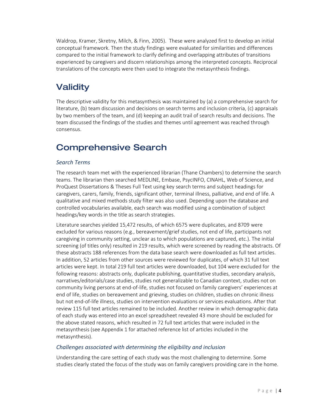[Waldrop, Kramer, Skretny, Milch, & Finn, 2005\)](#page-10-10). These were analyzed first to develop an initial conceptual framework. Then the study findings were evaluated for similarities and differences compared to the initial framework to clarify defining and overlapping attributes of transitions experienced by caregivers and discern relationships among the interpreted concepts. Reciprocal translations of the concepts were then used to integrate the metasynthesis findings.

# **Validity**

The descriptive validity for this metasynthesis was maintained by (a) a comprehensive search for literature, (b) team discussion and decisions on search terms and inclusion criteria, (c) appraisals by two members of the team, and (d) keeping an audit trail of search results and decisions. The team discussed the findings of the studies and themes until agreement was reached through consensus.

# Comprehensive Search

#### *Search Terms*

The research team met with the experienced librarian (Thane Chambers) to determine the search teams. The librarian then searched MEDLINE, Embase, PsycINFO, CINAHL, Web of Science, and ProQuest Dissertations & Theses Full Text using key search terms and subject headings for caregivers, carers, family, friends, significant other, terminal illness, palliative, and end of life. A qualitative and mixed methods study filter was also used. Depending upon the database and controlled vocabularies available, each search was modified using a combination of subject headings/key words in the title as search strategies.

Literature searches yielded 15,472 results, of which 6575 were duplicates, and 8709 were excluded for various reasons (e.g., bereavement/grief studies, not end of life, participants not caregiving in community setting, unclear as to which populations are captured, etc.). The initial screening (of titles only) resulted in 219 results, which were screened by reading the abstracts. Of these abstracts 188 references from the data base search were downloaded as full text articles. In addition, 52 articles from other sources were reviewed for duplicates, of which 31 full text articles were kept. In total 219 full text articles were downloaded, but 104 were excluded for the following reasons: abstracts only, duplicate publishing, quantitative studies, secondary analysis, narratives/editorials/case studies, studies not generalizable to Canadian context, studies not on community living persons at end-of-life, studies not focused on family caregivers' experiences at end of life, studies on bereavement and grieving, studies on children, studies on chronic illness but not end-of-life illness, studies on intervention evaluations or services evaluations. After that review 115 full text articles remained to be included. Another review in which demographic data of each study was entered into an excel spreadsheet revealed 43 more should be excluded for the above stated reasons, which resulted in 72 full text articles that were included in the metasynthesis (see Appendix 1 for attached reference list of articles included in the metasynthesis).

#### *Challenges associated with determining the eligibility and inclusion*

Understanding the care setting of each study was the most challenging to determine. Some studies clearly stated the focus of the study was on family caregivers providing care in the home.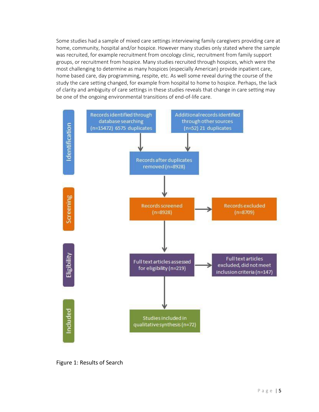Some studies had a sample of mixed care settings interviewing family caregivers providing care at home, community, hospital and/or hospice. However many studies only stated where the sample was recruited, for example recruitment from oncology clinic, recruitment from family support groups, or recruitment from hospice. Many studies recruited through hospices, which were the most challenging to determine as many hospices (especially American) provide inpatient care, home based care, day programming, respite, etc. As well some reveal during the course of the study the care setting changed, for example from hospital to home to hospice. Perhaps, the lack of clarity and ambiguity of care settings in these studies reveals that change in care setting may be one of the ongoing environmental transitions of end-of-life care.



Figure 1: Results of Search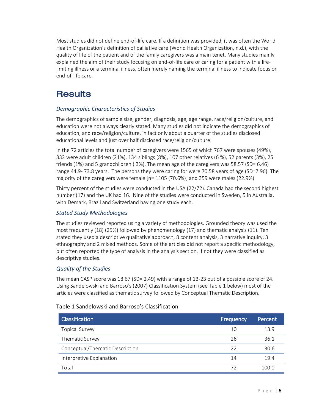Most studies did not define end-of-life care. If a definition was provided, it was often the World Health Organization's definition of palliative care (World Health [Organization, n.d.\)](#page-10-11), with the quality of life of the patient and of the family caregivers was a main tenet. Many studies mainly explained the aim of their study focusing on end-of-life care or caring for a patient with a lifelimiting illness or a terminal illness, often merely naming the terminal illness to indicate focus on end-of-life care.

# **Results**

#### *Demographic Characteristics of Studies*

The demographics of sample size, gender, diagnosis, age, age range, race/religion/culture, and education were not always clearly stated. Many studies did not indicate the demographics of education, and race/religion/culture, in fact only about a quarter of the studies disclosed educational levels and just over half disclosed race/religion/culture.

In the 72 articles the total number of caregivers were 1565 of which 767 were spouses (49%), 332 were adult children (21%), 134 siblings (8%), 107 other relatives (6 %), 52 parents (3%), 25 friends (1%) and 5 grandchildren (.3%). The mean age of the caregivers was 58.57 (SD= 6.46) range 44.9- 73.8 years. The persons they were caring for were 70.58 years of age (SD=7.96). The majority of the caregivers were female [n= 1105 (70.6%)] and 359 were males (22.9%).

Thirty percent of the studies were conducted in the USA (22/72). Canada had the second highest number (17) and the UK had 16. Nine of the studies were conducted in Sweden, 5 in Australia, with Demark, Brazil and Switzerland having one study each.

#### *Stated Study Methodologies*

The studies reviewed reported using a variety of methodologies. Grounded theory was used the most frequently (18) (25%) followed by phenomenology (17) and thematic analysis (11). Ten stated they used a descriptive qualitative approach, 8 content analysis, 3 narrative inquiry, 3 ethnography and 2 mixed methods. Some of the articles did not report a specific methodology, but often reported the type of analysis in the analysis section. If not they were classified as descriptive studies.

#### *Quality of the Studies*

The mean CASP score was 18.67 (SD= 2.49) with a range of 13-23 out of a possible score of 24. Using Sandelowski and Barroso's (2007) Classification System (see Table 1 below) most of the articles were classified as thematic survey followed by Conceptual Thematic Description.

# Classification Frequency Percent Topical Survey 10 13.9 Thematic Survey 26 26 36.1 Conceptual/Thematic Description 22 30.6 Interpretive Explanation 14 19.4 Total 72 100.0

#### Table 1 Sandelowski and Barroso's Classification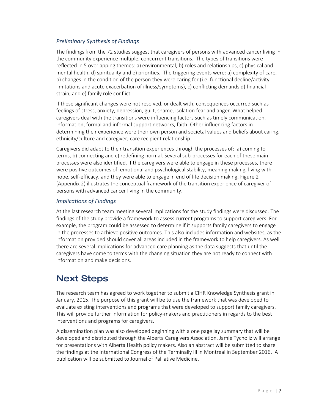#### *Preliminary Synthesis of Findings*

The findings from the 72 studies suggest that caregivers of persons with advanced cancer living in the community experience multiple, concurrent transitions. The types of transitions were reflected in 5 overlapping themes: a) environmental, b) roles and relationships, c) physical and mental health, d) spirituality and e) priorities. The triggering events were: a) complexity of care, b) changes in the condition of the person they were caring for (i.e. functional decline/activity limitations and acute exacerbation of illness/symptoms), c) conflicting demands d) financial strain, and e) family role conflict.

If these significant changes were not resolved, or dealt with, consequences occurred such as feelings of stress, anxiety, depression, guilt, shame, isolation fear and anger. What helped caregivers deal with the transitions were influencing factors such as timely communication, information, formal and informal support networks, faith. Other influencing factors in determining their experience were their own person and societal values and beliefs about caring, ethnicity/culture and caregiver, care recipient relationship.

Caregivers did adapt to their transition experiences through the processes of: a) coming to terms, b) connecting and c) redefining normal. Several sub-processes for each of these main processes were also identified. If the caregivers were able to engage in these processes, there were positive outcomes of: emotional and psychological stability, meaning making, living with hope, self-efficacy, and they were able to engage in end of life decision making. Figure 2 (Appendix 2) illustrates the conceptual framework of the transition experience of caregiver of persons with advanced cancer living in the community.

#### *Implications of Findings*

At the last research team meeting several implications for the study findings were discussed. The findings of the study provide a framework to assess current programs to support caregivers. For example, the program could be assessed to determine if it supports family caregivers to engage in the processes to achieve positive outcomes. This also includes information and websites, as the information provided should cover all areas included in the framework to help caregivers. As well there are several implications for advanced care planning as the data suggests that until the caregivers have come to terms with the changing situation they are not ready to connect with information and make decisions.

# Next Steps

The research team has agreed to work together to submit a CIHR Knowledge Synthesis grant in January, 2015. The purpose of this grant will be to use the framework that was developed to evaluate existing interventions and programs that were developed to support family caregivers. This will provide further information for policy-makers and practitioners in regards to the best interventions and programs for caregivers.

A dissemination plan was also developed beginning with a one page lay summary that will be developed and distributed through the Alberta Caregivers Association. Jamie Tycholiz will arrange for presentations with Alberta Health policy makers. Also an abstract will be submitted to share the findings at the International Congress of the Terminally Ill in Montreal in September 2016. A publication will be submitted to Journal of Palliative Medicine.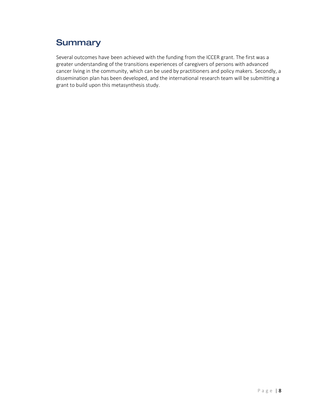# **Summary**

Several outcomes have been achieved with the funding from the ICCER grant. The first was a greater understanding of the transitions experiences of caregivers of persons with advanced cancer living in the community, which can be used by practitioners and policy makers. Secondly, a dissemination plan has been developed, and the international research team will be submitting a grant to build upon this metasynthesis study.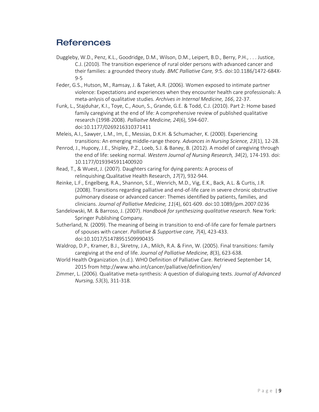### **References**

- <span id="page-10-5"></span>Duggleby, W.D., Penz, K.L., Goodridge, D.M., Wilson, D.M., Leipert, B.D., Berry, P.H., . . . Justice, C.J. (2010). The transition experience of rural older persons with advanced cancer and their families: a grounded theory study. *BMC Palliative Care, 9*:5. doi:10.1186/1472-684X-9-5
- <span id="page-10-4"></span>Feder, G.S., Hutson, M., Ramsay, J. & Taket, A.R. (2006). Women exposed to intimate partner violence: Expectations and experiences when they encounter health care professionals: A meta-anlysis of qualitative studies. *Archives in Internal Medicine, 166*, 22-37.
- <span id="page-10-1"></span>Funk, L., Stajduhar, K.I., Toye, C., Aoun, S., Grande, G.E. & Todd, C.J. (2010). Part 2: Home based family caregiving at the end of life: A comprehensive review of published qualitative research (1998-2008). *Palliaitve Medicine, 24*(6), 594-607. doi:10.1177/0269216310371411
- <span id="page-10-0"></span>Meleis, A.I., Sawyer, L.M., Im, E., Messias, D.K.H. & Schumacher, K. (2000). Experiencing transitions: An emerging middle-range theory. *Advances in Nursing Science, 23*(1), 12-28.
- <span id="page-10-6"></span>Penrod, J., Hupcey, J.E., Shipley, P.Z., Loeb, S.J. & Baney, B. (2012). A model of caregiving through the end of life: seeking normal. *Western Journal of Nursing Research, 34*(2), 174-193. doi: 10.1177/0193945911400920
- <span id="page-10-7"></span>Read, T., & Wuest, J. (2007). Daughters caring for dying parents: A process of relinquishing.Qualitative Health Research, *17*(7), 932-944.
- <span id="page-10-8"></span>Reinke, L.F., Engelberg, R.A., Shannon, S.E., Wenrich, M.D., Vig, E.K., Back, A.L. & Curtis, J.R. (2008). Transitions regarding palliative and end-of-life care in severe chronic obstructive pulmonary disease or advanced cancer: Themes identified by patients, families, and clinicians. *Journal of Palliative Medicine, 11*(4), 601-609. doi:10.1089/jpm.2007.0236
- <span id="page-10-3"></span>Sandelowski, M. & Barroso, J. (2007). *Handbook for synthesizing qualitative research*. New York: Springer Publishing Company.
- <span id="page-10-9"></span>Sutherland, N. (2009). The meaning of being in transition to end-of-life care for female partners of spouses with cancer. *Palliative & Supportive care, 7*(4), 423-433. doi:10.1017/S1478951509990435
- <span id="page-10-10"></span>Waldrop, D.P., Kramer, B.J., Skretny, J.A., Milch, R.A. & Finn, W. (2005). Final transitions: family caregiving at the end of life. *Journal of Palliative Medicine, 8*(3), 623-638.
- <span id="page-10-11"></span>World Health Organization. (n.d.). WHO Definition of Palliative Care. Retrieved September 14, 2015 from http://www.who.int/cancer/palliative/definition/en/
- <span id="page-10-2"></span>Zimmer, L. (2006). Qualitative meta-synthesis: A question of dialoguing texts. *Journal of Advanced Nursing, 53*(3), 311-318.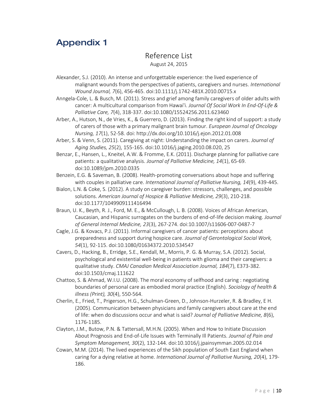## Appendix 1

#### Reference List August 24, 2015

- Alexander, S.J. (2010). An intense and unforgettable experience: the lived experience of malignant wounds from the perspectives of patients, caregivers and nurses. *International Wound Journal, 7*(6), 456-465. doi:10.1111/j.1742-481X.2010.00715.x
- Anngela-Cole, L. & Busch, M. (2011). Stress and grief among family caregivers of older adults with cancer: A multicultural comparison from Hawai'i. *Journal Of Social Work In End-Of-Life & Palliative Care, 7*(4), 318-337. doi:10.1080/15524256.2011.623460
- Arber, A., Hutson, N., de Vries, K., & Guerrero, D. (2013). Finding the right kind of support: a study of carers of those with a primary malignant brain tumour. *European Journal of Oncology Nursing, 17*(1), 52-58. doi: http://dx.doi.org/10.1016/j.ejon.2012.01.008
- Arber, S. & Venn, S. (2011). Caregiving at night: Understanding the impact on carers. *Journal of Aging Studies, 25*(2), 155-165. doi:10.1016/j.jaging.2010.08.020, 25
- Benzar, E., Hansen, L., Kneitel, A.W. & Fromme, E.K. (2011). Discharge planning for palliative care patients: a qualitative analysis. *Journal of Palliative Medicine, 14*(1), 65-69. doi:10.1089/jpm.2010.0335
- Benzein, E.G. & Saveman, B. (2008). Health-promoting conversations about hope and suffering with couples in palliative care. *International Journal of Palliative Nursing, 14*(9), 439-445.
- Bialon, L.N. & Coke, S. (2012). A study on caregiver burden: stressors, challenges, and possible solutions. *American Journal of Hospice & Palliative Medicine, 29*(3), 210-218. doi:10.1177/1049909111416494
- Braun, U. K., Beyth, R. J., Ford, M. E., & McCullough, L. B. (2008). Voices of African American, Caucasian, and Hispanic surrogates on the burdens of end-of-life decision making. *Journal of General Internal Medicine, 23*(3), 267-274. doi:10.1007/s11606-007-0487-7
- Cagle, J.G. & Kovacs, P.J. (2011). Informal caregivers of cancer patients: perceptions about preparedness and support during hospice care. *Journal of Gerontological Social Work, 54*(1), 92-115. doi:10.1080/01634372.2010.534547
- Cavers, D., Hacking, B., Erridge, S.E., Kendall, M., Morris, P. G. & Murray, S.A. (2012). Social, psychological and existential well-being in patients with glioma and their caregivers: a qualitative study. *CMAJ Canadian Medical Association Journal, 184*(7), E373-382. doi:10.1503/cmaj.111622
- Chattoo, S. & Ahmad, W.I.U. (2008). The moral economy of selfhood and caring : negotiating boundaries of personal care as embodied moral practice (English). *Sociology of health & illness (Print), 30*(4), 550-564.
- Cherlin, E., Fried, T., Prigerson, H.G., Schulman-Green, D., Johnson-Hurzeler, R. & Bradley, E H. (2005). Communication between physicians and family caregivers about care at the end of life: when do discussions occur and what is said? *Journal of Palliative Medicine, 8*(6), 1176-1185.
- Clayton, J.M., Butow, P.N. & Tattersall, M.H.N. (2005). When and How to Initiate Discussion About Prognosis and End-of-Life Issues with Terminally Ill Patients. *Journal of Pain and Symptom Management, 30*(2), 132-144. doi:10.1016/j.jpainsymman.2005.02.014
- Cowan, M.M. (2014). The lived experiences of the Sikh population of South East England when caring for a dying relative at home. *International Journal of Palliative Nursing, 20*(4), 179- 186.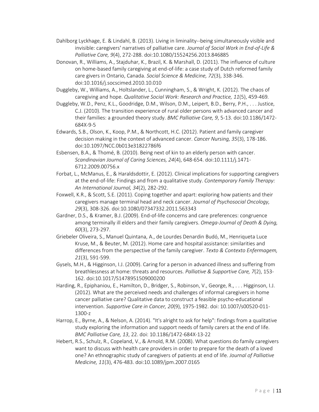- Dahlborg Lyckhage, E. & Lindahl, B. (2013). Living in liminality--being simultaneously visible and invisible: caregivers' narratives of palliative care. *Journal of Social Work in End-of-Life & Palliative Care, 9*(4), 272-288. doi:10.1080/15524256.2013.846885
- Donovan, R., Williams, A., Stajduhar, K., Brazil, K. & Marshall, D. (2011). The influence of culture on home-based family caregiving at end-of-life: a case study of Dutch reformed family care givers in Ontario, Canada. *Social Science & Medicine, 72*(3), 338-346. doi:10.1016/j.socscimed.2010.10.010
- Duggleby, W., Williams, A., Holtslander, L., Cunningham, S., & Wright, K. (2012). The chaos of caregiving and hope. *Qualitative Social Work: Research and Practice, 11*(5), 459-469*.*
- Duggleby, W.D., Penz, K.L., Goodridge, D.M., Wilson, D.M., Leipert, B.D., Berry, P.H., . . . Justice, C.J. (2010). The transition experience of rural older persons with advanced cancer and their families: a grounded theory study. *BMC Palliative Care, 9*, 5-13. doi:10.1186/1472- 684X-9-5
- Edwards, S.B., Olson, K., Koop, P.M., & Northcott, H.C. (2012). Patient and family caregiver decision making in the context of advanced cancer. *Cancer Nursing, 35*(3), 178-186. doi:10.1097/NCC.0b013e31822786f6
- Esbensen, B.A., & Thomé, B. (2010). Being next of kin to an elderly person with cancer. *Scandinavian Journal of Caring Sciences, 24*(4), 648-654. doi:10.1111/j.1471- 6712.2009.00756.x
- Forbat, L., McManus, E., & Haraldsdottir, E. (2012). Clinical implications for supporting caregivers at the end-of-life: Findings and from a qualitative study. *Contemporary Family Therapy: An International Journal, 34*(2), 282-292.
- Foxwell, K.R., & Scott, S.E. (2011). Coping together and apart: exploring how patients and their caregivers manage terminal head and neck cancer. *Journal of Psychosocial Oncology, 29*(3), 308-326. doi:10.1080/07347332.2011.563343
- Gardner, D.S., & Kramer, B.J. (2009). End-of-life concerns and care preferences: congruence among terminally ill elders and their family caregivers. *Omega-Journal of Death & Dying, 60*(3), 273-297.
- Griebeler Oliveira, S., Manuel Quintana, A., de Lourdes Denardin Budό, M., Henriqueta Luce Kruse, M., & Beuter, M. (2012). Home care and hospital assistance: similarities and differences from the perspective of the family caregiver. *Texto & Contexto Enfermagem, 21*(3), 591-599.
- Gysels, M.H., & Higginson, I.J. (2009). Caring for a person in advanced illness and suffering from breathlessness at home: threats and resources. *Palliative & Supportive Care, 7*(2), 153- 162. doi:10.1017/S1478951509000200
- Harding, R., Epiphaniou, E., Hamilton, D., Bridger, S., Robinson, V., George, R., . . . Higginson, I.J. (2012). What are the perceived needs and challenges of informal caregivers in home cancer palliative care? Qualitative data to construct a feasible psycho-educational intervention. *Supportive Care in Cancer, 20*(9), 1975-1982. doi: 10.1007/s00520-011- 1300-z
- Harrop, E., Byrne, A., & Nelson, A. (2014). "It's alright to ask for help": findings from a qualitative study exploring the information and support needs of family carers at the end of life. *BMC Palliative Care, 13*, 22. doi: 10.1186/1472-684X-13-22
- Hebert, R.S., Schulz, R., Copeland, V., & Arnold, R.M. (2008). What questions do family caregivers want to discuss with health care providers in order to prepare for the death of a loved one? An ethnographic study of caregivers of patients at end of life. *Journal of Palliative Medicine, 11*(3), 476-483. doi:10.1089/jpm.2007.0165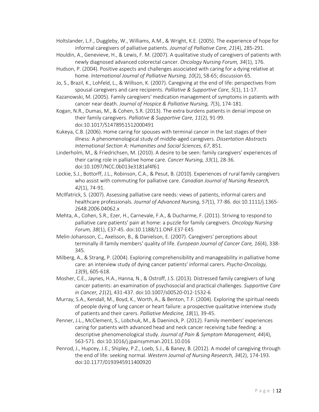Holtslander, L.F., Duggleby, W., Williams, A.M., & Wright, K.E. (2005). The experience of hope for informal caregivers of palliative patients. *Journal of Palliative Care, 21*(4), 285-291.

- Houldin, A., Genevieve, H., & Lewis, F. M. (2007). A qualitative study of caregivers of patients with newly diagnosed advanced colorectal cancer. *Oncology Nursing Forum, 34*(1), 176.
- Hudson, P. (2004). Positive aspects and challenges associated with caring for a dying relative at home. *International Journal of Palliative Nursing, 10*(2), 58-65; discussion 65.
- Jo, S., Brazil, K., Lohfeld, L., & Willison, K. (2007). Caregiving at the end of life: perspectives from spousal caregivers and care recipients. *Palliative & Supportive Care, 5*(1), 11-17.
- Kazanowski, M. (2005). Family caregivers' medication management of symptoms in patients with cancer near death. *Journal of Hospice & Palliative Nursing, 7*(3), 174-181.
- Kogan, N.R., Dumas, M., & Cohen, S.R. (2013). The extra burdens patients in denial impose on their family caregivers. *Palliative & Supportive Care, 11*(2), 91-99. doi:10.1017/S1478951512000491
- Kukeya, C.B. (2006). Home caring for spouses with terminal cancer in the last stages of their illness: A phenomenological study of middle-aged caregivers. *Dissertation Abstracts International Section A: Humanities and Social Sciences, 67*, 851.
- Linderholm, M., & Friedrichsen, M. (2010). A desire to be seen: family caregivers' experiences of their caring role in palliative home care. *Cancer Nursing, 33*(1), 28-36. doi:10.1097/NCC.0b013e3181af4f61
- Lockie, S.J., Bottorff, J.L., Robinson, C.A., & Pesut, B. (2010). Experiences of rural family caregivers who assist with commuting for palliative care. *Canadian Journal of Nursing Research, 42*(1), 74-91.
- McIlfatrick, S. (2007). Assessing palliative care needs: views of patients, informal carers and healthcare professionals. *Journal of Advanced Nursing, 57*(1), 77-86. doi:10.1111/j.1365- 2648.2006.04062.x
- Mehta, A., Cohen, S.R., Ezer, H., Carnevale, F.A., & Ducharme, F. (2011). Striving to respond to palliative care patients' pain at home: a puzzle for family caregivers. *Oncology Nursing Forum, 38*(1), E37-45. doi:10.1188/11.ONF.E37-E45
- Melin-Johansson, C., Axelsson, B., & Danielson, E. (2007). Caregivers' perceptions about terminally ill family members' quality of life. *European Journal of Cancer Care, 16*(4), 338- 345.
- Milberg, A., & Strang, P. (2004). Exploring comprehensibility and manageability in palliative home care: an interview study of dying cancer patients' informal carers. *Psycho-Oncology, 13*(9), 605-618.
- Mosher, C.E., Jaynes, H.A., Hanna, N., & Ostroff, J.S. (2013). Distressed family caregivers of lung cancer patients: an examination of psychosocial and practical challenges. *Supportive Care in Cancer, 21*(2), 431-437. doi:10.1007/s00520-012-1532-6
- Murray, S.A., Kendall, M., Boyd, K., Worth, A., & Benton, T.F. (2004). Exploring the spiritual needs of people dying of lung cancer or heart failure: a prospective qualitative interview study of patients and their carers. *Palliative Medicine, 18*(1), 39-45.
- Penner, J.L., McClement, S., Lobchuk, M., & Daeninck, P. (2012). Family members' experiences caring for patients with advanced head and neck cancer receiving tube feeding: a descriptive phenomenological study. *Journal of Pain & Symptom Management, 44*(4), 563-571. doi:10.1016/j.jpainsymman.2011.10.016
- Penrod, J., Hupcey, J.E., Shipley, P.Z., Loeb, S.J., & Baney, B. (2012). A model of caregiving through the end of life: seeking normal. *Western Journal of Nursing Research, 34*(2), 174-193. doi:10.1177/0193945911400920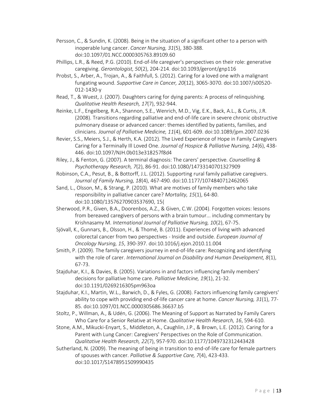- Persson, C., & Sundin, K. (2008). Being in the situation of a significant other to a person with inoperable lung cancer. *Cancer Nursing, 31*(5), 380-388. doi:10.1097/01.NCC.0000305763.89109.60
- Phillips, L.R., & Reed, P.G. (2010). End-of-life caregiver's perspectives on their role: generative caregiving. *Gerontologist, 50*(2), 204-214. doi:10.1093/geront/gnp116
- Probst, S., Arber, A., Trojan, A., & Faithfull, S. (2012). Caring for a loved one with a malignant fungating wound. *Supportive Care in Cancer, 20*(12), 3065-3070. doi:10.1007/s00520- 012-1430-y
- Read, T., & Wuest, J. (2007). Daughters caring for dying parents: A process of relinquishing*. Qualitative Health Research, 17*(7), 932-944.
- Reinke, L.F., Engelberg, R.A., Shannon, S.E., Wenrich, M.D., Vig, E.K., Back, A.L., & Curtis, J.R. (2008). Transitions regarding palliative and end-of-life care in severe chronic obstructive pulmonary disease or advanced cancer: themes identified by patients, families, and clinicians. *Journal of Palliative Medicine, 11*(4), 601-609. doi:10.1089/jpm.2007.0236
- Revier, S.S., Meiers, S.J., & Herth, K.A. (2012). The Lived Experience of Hope in Family Caregivers Caring for a Terminally Ill Loved One. *Journal of Hospice & Palliative Nursing, 14*(6), 438- 446. doi:10.1097/NJH.0b013e318257f8d4
- Riley, J., & Fenton, G. (2007). A terminal diagnosis: The carers' perspective. *Counselling & Psychotherapy Research, 7*(2), 86-91. doi:10.1080/14733140701327909
- Robinson, C.A., Pesut, B., & Bottorff, J.L. (2012). Supporting rural family palliative caregivers. *Journal of Family Nursing, 18*(4), 467-490. doi:10.1177/1074840712462065
- Sand, L., Olsson, M., & Strang, P. (2010). What are motives of family members who take responsibility in palliative cancer care? *Mortality, 15*(1), 64-80. doi:10.1080/13576270903537690, 15(
- Sherwood, P.R., Given, B.A., Doorenbos, A.Z., & Given, C.W. (2004). Forgotten voices: lessons from bereaved caregivers of persons with a brain tumour... including commentary by Krishnasamy M. *International Journal of Palliative Nursing, 10*(2), 67-75.
- Sjövall, K., Gunnars, B., Olsson, H., & Thomé, B. (2011). Experiences of living with advanced colorectal cancer from two perspectives - Inside and outside. *European Journal of Oncology Nursing, 15*, 390-397. doi:10.1016/j.ejon.2010.11.004
- Smith, P. (2009). The family caregivers journey in end-of-life care: Recognizing and identifying with the role of carer. *International Journal on Disability and Human Development, 8*(1), 67-73.
- Stajduhar, K.I., & Davies, B. (2005). Variations in and factors influencing family members' decisions for palliative home care. *Palliative Medicine, 19*(1), 21-32. doi:10.1191/0269216305pm963oa
- Stajduhar, K.I., Martin, W.L., Barwich, D., & Fyles, G. (2008). Factors influencing family caregivers' ability to cope with providing end-of-life cancer care at home. *Cancer Nursing, 31*(1), 77- 85. doi:10.1097/01.NCC.0000305686.36637.b5
- Stoltz, P., Willman, A., & Udén, G. (2006). The Meaning of Support as Narrated by Family Carers Who Care for a Senior Relative at Home. *Qualitative Health Research, 16*, 594-610.
- Stone, A.M., Mikucki-Enyart, S., Middleton, A., Caughlin, J.P., & Brown, L.E. (2012). Caring for a Parent with Lung Cancer: Caregivers' Perspectives on the Role of Communication. *Qualitative Health Research, 22*(7), 957-970. doi:10.1177/1049732312443428
- Sutherland, N. (2009). The meaning of being in transition to end-of-life care for female partners of spouses with cancer. *Palliative & Supportive Care, 7*(4), 423-433. doi:10.1017/S1478951509990435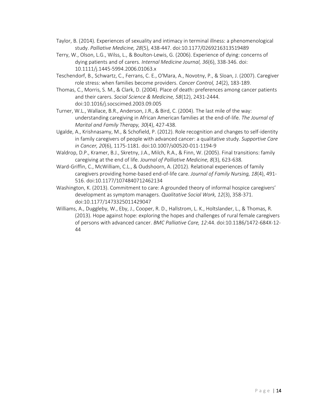- Taylor, B. (2014). Experiences of sexuality and intimacy in terminal illness: a phenomenological study. *Palliative Medicine, 28*(5), 438-447. doi:10.1177/0269216313519489
- Terry, W., Olson, L.G., Wilss, L., & Boulton-Lewis, G. (2006). Experience of dying: concerns of dying patients and of carers. *Internal Medicine Journal, 36*(6), 338-346. doi: 10.1111/j.1445-5994.2006.01063.x
- Teschendorf, B., Schwartz, C., Ferrans, C. E., O'Mara, A., Novotny, P., & Sloan, J. (2007). Caregiver role stress: when families become providers. *Cancer Control, 14*(2), 183-189.
- Thomas, C., Morris, S. M., & Clark, D. (2004). Place of death: preferences among cancer patients and their carers. *Social Science & Medicine, 58*(12), 2431-2444. doi:10.1016/j.socscimed.2003.09.005
- Turner, W.L., Wallace, B.R., Anderson, J.R., & Bird, C. (2004). The last mile of the way: understanding caregiving in African American families at the end-of-life. *The Journal of Marital and Family Therapy, 30*(4), 427-438.
- Ugalde, A., Krishnasamy, M., & Schofield, P. (2012). Role recognition and changes to self-identity in family caregivers of people with advanced cancer: a qualitative study. *Supportive Care in Cancer, 20*(6), 1175-1181. doi:10.1007/s00520-011-1194-9
- Waldrop, D.P., Kramer, B.J., Skretny, J.A., Milch, R.A., & Finn, W. (2005). Final transitions: family caregiving at the end of life. *Journal of Palliative Medicine, 8*(3), 623-638.
- Ward-Griffin, C., McWilliam, C.L., & Oudshoorn, A. (2012). Relational experiences of family caregivers providing home-based end-of-life care. *Journal of Family Nursing, 18*(4), 491- 516. doi:10.1177/1074840712462134
- Washington, K. (2013). Commitment to care: A grounded theory of informal hospice caregivers' development as symptom managers. *Qualitative Social Work, 12*(3), 358-371. doi:10.1177/1473325011429047
- Williams, A., Duggleby, W., Eby, J., Cooper, R. D., Hallstrom, L. K., Holtslander, L., & Thomas, R. (2013). Hope against hope: exploring the hopes and challenges of rural female caregivers of persons with advanced cancer. *BMC Palliative Care, 12*:44. doi:10.1186/1472-684X-12- 44